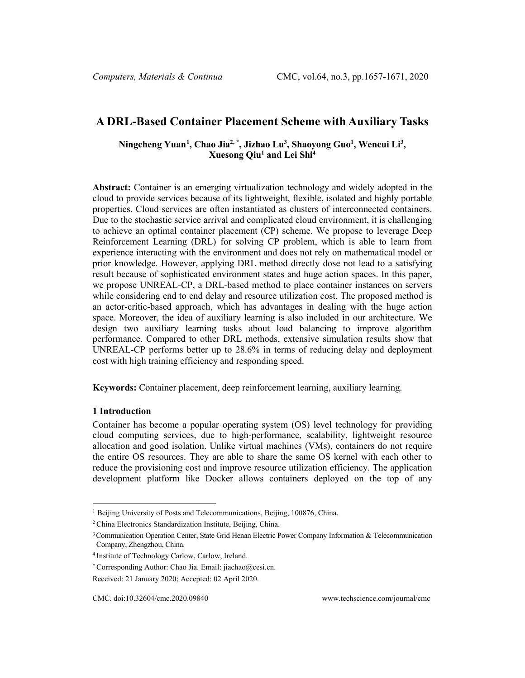# **A DRL-Based Container Placement Scheme with Auxiliary Tasks**

**Ningcheng Yuan[1](#page-0-0) , Chao Jia2, \*, Jizhao Lu3 , Shaoyong Guo1 , Wencui Li3 , Xuesong Qiu1 and Lei Shi4**

**Abstract:** Container is an emerging virtualization technology and widely adopted in the cloud to provide services because of its lightweight, flexible, isolated and highly portable properties. Cloud services are often instantiated as clusters of interconnected containers. Due to the stochastic service arrival and complicated cloud environment, it is challenging to achieve an optimal container placement (CP) scheme. We propose to leverage Deep Reinforcement Learning (DRL) for solving CP problem, which is able to learn from experience interacting with the environment and does not rely on mathematical model or prior knowledge. However, applying DRL method directly dose not lead to a satisfying result because of sophisticated environment states and huge action spaces. In this paper, we propose UNREAL-CP, a DRL-based method to place container instances on servers while considering end to end delay and resource utilization cost. The proposed method is an actor-critic-based approach, which has advantages in dealing with the huge action space. Moreover, the idea of auxiliary learning is also included in our architecture. We design two auxiliary learning tasks about load balancing to improve algorithm performance. Compared to other DRL methods, extensive simulation results show that UNREAL-CP performs better up to 28.6% in terms of reducing delay and deployment cost with high training efficiency and responding speed.

**Keywords:** Container placement, deep reinforcement learning, auxiliary learning.

### **1 Introduction**

Container has become a popular operating system (OS) level technology for providing cloud computing services, due to high-performance, scalability, lightweight resource allocation and good isolation. Unlike virtual machines (VMs), containers do not require the entire OS resources. They are able to share the same OS kernel with each other to reduce the provisioning cost and improve resource utilization efficiency. The application development platform like Docker allows containers deployed on the top of any

<sup>&</sup>lt;sup>1</sup> Beijing University of Posts and Telecommunications, Beijing, 100876, China.

<span id="page-0-0"></span><sup>2</sup> China Electronics Standardization Institute, Beijing, China.

<sup>&</sup>lt;sup>3</sup> Communication Operation Center, State Grid Henan Electric Power Company Information & Telecommunication Company, Zhengzhou, China.

<sup>4</sup> Institute of Technology Carlow, Carlow, Ireland.

<sup>\*</sup> Corresponding Author: Chao Jia. Email[: jiachao@cesi.cn.](mailto:jiachao@cesi.cn)

Received: 21 January 2020; Accepted: 02 April 2020.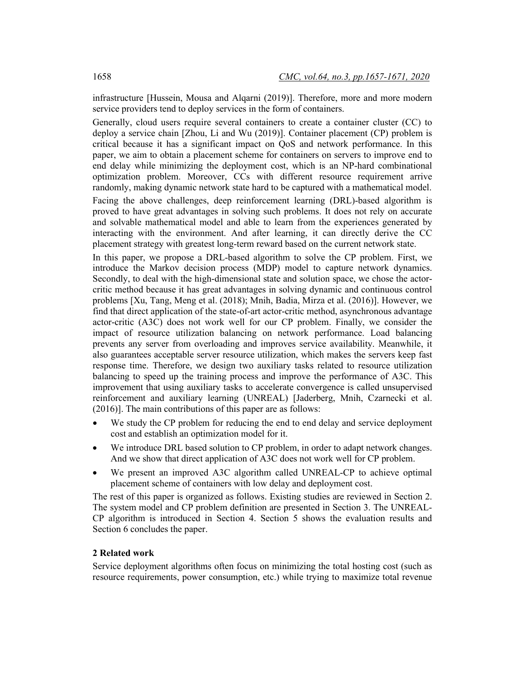infrastructure [Hussein, Mousa and Alqarni (2019)]. Therefore, more and more modern service providers tend to deploy services in the form of containers.

Generally, cloud users require several containers to create a container cluster (CC) to deploy a service chain [Zhou, Li and Wu (2019)]. Container placement (CP) problem is critical because it has a significant impact on QoS and network performance. In this paper, we aim to obtain a placement scheme for containers on servers to improve end to end delay while minimizing the deployment cost, which is an NP-hard combinational optimization problem. Moreover, CCs with different resource requirement arrive randomly, making dynamic network state hard to be captured with a mathematical model.

Facing the above challenges, deep reinforcement learning (DRL)-based algorithm is proved to have great advantages in solving such problems. It does not rely on accurate and solvable mathematical model and able to learn from the experiences generated by interacting with the environment. And after learning, it can directly derive the CC placement strategy with greatest long-term reward based on the current network state.

In this paper, we propose a DRL-based algorithm to solve the CP problem. First, we introduce the Markov decision process (MDP) model to capture network dynamics. Secondly, to deal with the high-dimensional state and solution space, we chose the actorcritic method because it has great advantages in solving dynamic and continuous control problems [Xu, Tang, Meng et al. (2018); Mnih, Badia, Mirza et al. (2016)]. However, we find that direct application of the state-of-art actor-critic method, asynchronous advantage actor-critic (A3C) does not work well for our CP problem. Finally, we consider the impact of resource utilization balancing on network performance. Load balancing prevents any server from overloading and improves service availability. Meanwhile, it also guarantees acceptable server resource utilization, which makes the servers keep fast response time. Therefore, we design two auxiliary tasks related to resource utilization balancing to speed up the training process and improve the performance of A3C. This improvement that using auxiliary tasks to accelerate convergence is called unsupervised reinforcement and auxiliary learning (UNREAL) [Jaderberg, Mnih, Czarnecki et al. (2016)]. The main contributions of this paper are as follows:

- We study the CP problem for reducing the end to end delay and service deployment cost and establish an optimization model for it.
- We introduce DRL based solution to CP problem, in order to adapt network changes. And we show that direct application of A3C does not work well for CP problem.
- We present an improved A3C algorithm called UNREAL-CP to achieve optimal placement scheme of containers with low delay and deployment cost.

The rest of this paper is organized as follows. Existing studies are reviewed in Section 2. The system model and CP problem definition are presented in Section 3. The UNREAL-CP algorithm is introduced in Section 4. Section 5 shows the evaluation results and Section 6 concludes the paper.

## **2 Related work**

Service deployment algorithms often focus on minimizing the total hosting cost (such as resource requirements, power consumption, etc.) while trying to maximize total revenue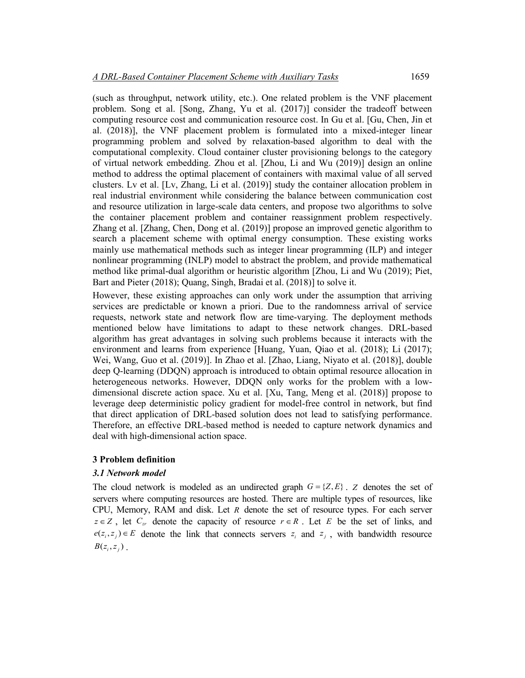(such as throughput, network utility, etc.). One related problem is the VNF placement problem. Song et al. [Song, Zhang, Yu et al. (2017)] consider the tradeoff between computing resource cost and communication resource cost. In Gu et al. [Gu, Chen, Jin et al. (2018)], the VNF placement problem is formulated into a mixed-integer linear programming problem and solved by relaxation-based algorithm to deal with the computational complexity. Cloud container cluster provisioning belongs to the category of virtual network embedding. Zhou et al. [Zhou, Li and Wu (2019)] design an online method to address the optimal placement of containers with maximal value of all served clusters. Lv et al. [Lv, Zhang, Li et al. (2019)] study the container allocation problem in real industrial environment while considering the balance between communication cost and resource utilization in large-scale data centers, and propose two algorithms to solve the container placement problem and container reassignment problem respectively. Zhang et al. [Zhang, Chen, Dong et al. (2019)] propose an improved genetic algorithm to search a placement scheme with optimal energy consumption. These existing works mainly use mathematical methods such as integer linear programming (ILP) and integer nonlinear programming (INLP) model to abstract the problem, and provide mathematical method like primal-dual algorithm or heuristic algorithm [Zhou, Li and Wu (2019); Piet, Bart and Pieter (2018); Quang, Singh, Bradai et al. (2018)] to solve it.

However, these existing approaches can only work under the assumption that arriving services are predictable or known a priori. Due to the randomness arrival of service requests, network state and network flow are time-varying. The deployment methods mentioned below have limitations to adapt to these network changes. DRL-based algorithm has great advantages in solving such problems because it interacts with the environment and learns from experience [Huang, Yuan, Qiao et al. (2018); Li (2017); Wei, Wang, Guo et al. (2019)]. In Zhao et al. [Zhao, Liang, Niyato et al. (2018)], double deep Q-learning (DDQN) approach is introduced to obtain optimal resource allocation in heterogeneous networks. However, DDQN only works for the problem with a lowdimensional discrete action space. Xu et al. [Xu, Tang, Meng et al. (2018)] propose to leverage deep deterministic policy gradient for model-free control in network, but find that direct application of DRL-based solution does not lead to satisfying performance. Therefore, an effective DRL-based method is needed to capture network dynamics and deal with high-dimensional action space.

### **3 Problem definition**

### *3.1 Network model*

The cloud network is modeled as an undirected graph  $G = \{Z, E\}$ . *Z* denotes the set of servers where computing resources are hosted. There are multiple types of resources, like CPU, Memory, RAM and disk. Let *R* denote the set of resource types. For each server  $z \in Z$ , let  $C_{zr}$  denote the capacity of resource  $r \in R$ . Let *E* be the set of links, and  $e(z_i, z_j) \in E$  denote the link that connects servers  $z_i$  and  $z_j$ , with bandwidth resource  $B(z_i, z_j)$ .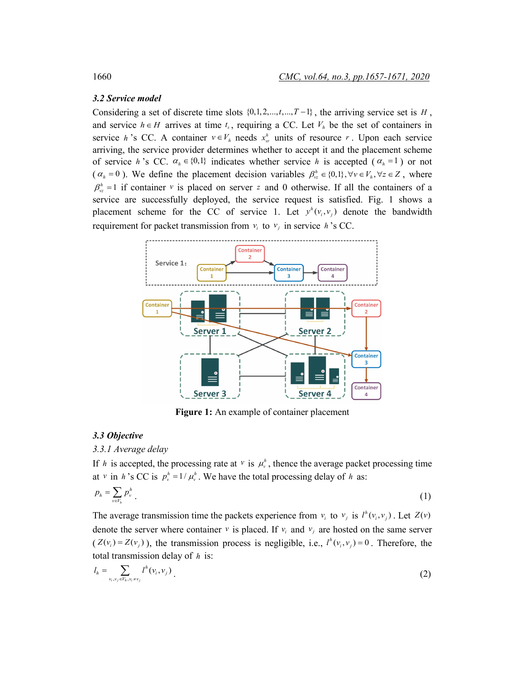### *3.2 Service model*

Considering a set of discrete time slots  $\{0,1,2,...,t,...,T-1\}$ , the arriving service set is *H*, and service  $h \in H$  arrives at time  $t_s$ , requiring a CC. Let  $V_h$  be the set of containers in service *h* 's CC. A container  $v \in V_h$  needs  $x_w^h$  units of resource *r*. Upon each service arriving, the service provider determines whether to accept it and the placement scheme of service *h* 's CC.  $\alpha_h \in \{0,1\}$  indicates whether service *h* is accepted ( $\alpha_h = 1$ ) or not  $(\alpha_h = 0)$ . We define the placement decision variables  $\beta_v^h \in \{0,1\}$ ,  $\forall v \in V_h$ ,  $\forall z \in Z$ , where  $\beta_{\nu z}^h = 1$  if container *v* is placed on server *z* and 0 otherwise. If all the containers of a service are successfully deployed, the service request is satisfied. Fig. 1 shows a placement scheme for the CC of service 1. Let  $y^h(v_i, v_j)$  denote the bandwidth requirement for packet transmission from  $v_i$  to  $v_j$  in service *h* 's CC.



**Figure 1:** An example of container placement

### *3.3 Objective*

### *3.3.1 Average delay*

If *h* is accepted, the processing rate at *v* is  $\mu_v^h$ , thence the average packet processing time at *v* in *h*'s CC is  $p_v^h = 1/\mu_v^h$ . We have the total processing delay of *h* as:

$$
p_h = \sum_{v \in V_h} p_v^h \tag{1}
$$

The average transmission time the packets experience from  $v_i$  to  $v_j$  is  $l^h(v_i, v_j)$ . Let  $Z(v)$ denote the server where container  $v$  is placed. If  $v_i$  and  $v_j$  are hosted on the same server  $(Z(v_i) = Z(v_j)$ , the transmission process is negligible, i.e.,  $l^h(v_i, v_j) = 0$ . Therefore, the total transmission delay of *h* is:

$$
l_{h} = \sum_{\nu_{i},\nu_{j} \in V_{h}, \nu_{i} \neq \nu_{j}} l^{h}(v_{i},v_{j})
$$
\n(2)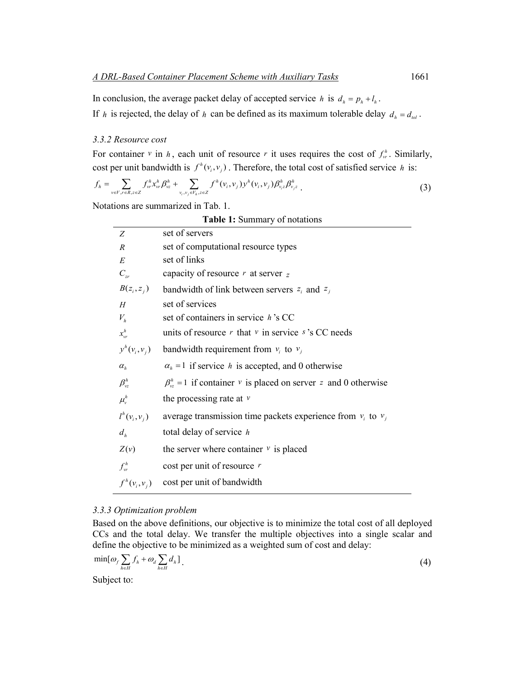In conclusion, the average packet delay of accepted service *h* is  $d_h = p_h + l_h$ . If *h* is rejected, the delay of *h* can be defined as its maximum tolerable delay  $d_h = d_{tol}$ .

### *3.3.2 Resource cost*

For container *v* in *h*, each unit of resource *r* it uses requires the cost of  $f_w^h$ . Similarly, cost per unit bandwidth is  $f^h(v_i, v_j)$ . Therefore, the total cost of satisfied service *h* is:

$$
f_{h} = \sum_{v \in V, r \in R, z \in Z} f_{vr}^{h} x_{vr}^{h} \beta_{vz}^{h} + \sum_{v_{i}, v_{j} \in V_{h}, z \in Z} f^{h}(v_{i}, v_{j}) y^{h}(v_{i}, v_{j}) \beta_{v_{i}z}^{h} \beta_{v_{j}z}^{h}
$$
 (3)

Notations are summarized in Tab. 1.

**Table 1:** Summary of notations

| set of servers                                                          |
|-------------------------------------------------------------------------|
| set of computational resource types                                     |
| set of links                                                            |
| capacity of resource $r$ at server $z$                                  |
| $B(z_i, z_j)$ bandwidth of link between servers $z_i$ and $z_j$         |
| set of services                                                         |
| set of containers in service h's CC                                     |
| units of resource $r$ that $v$ in service $s$ 's CC needs               |
| $y^h(v_i, v_j)$ bandwidth requirement from $v_i$ to $v_j$               |
| $\alpha_h = 1$ if service h is accepted, and 0 otherwise                |
| $\beta_{yz}^h$ = 1 if container v is placed on server z and 0 otherwise |
| the processing rate at $\nu$                                            |
| average transmission time packets experience from $v_i$ to $v_j$        |
| total delay of service $h$                                              |
| the server where container $\nu$ is placed                              |
| cost per unit of resource $r$                                           |
| cost per unit of bandwidth                                              |
|                                                                         |

### *3.3.3 Optimization problem*

Based on the above definitions, our objective is to minimize the total cost of all deployed CCs and the total delay. We transfer the multiple objectives into a single scalar and define the objective to be minimized as a weighted sum of cost and delay:

$$
\min[\omega_f \sum_{h \in H} f_h + \omega_d \sum_{h \in H} d_h]. \tag{4}
$$

Subject to: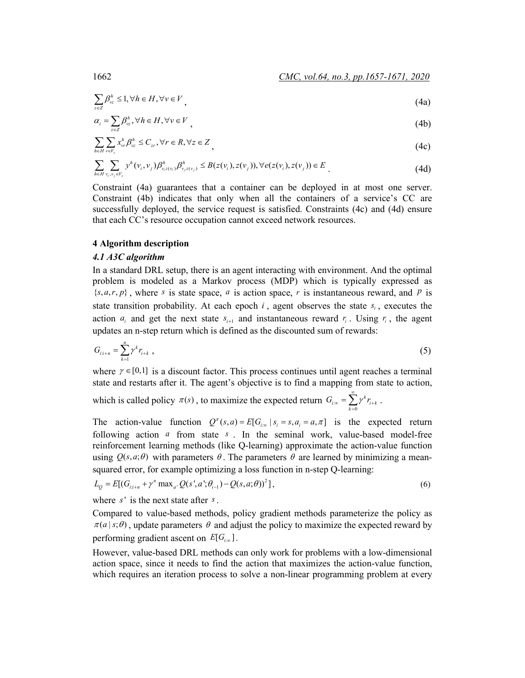$$
\sum_{z \in Z} \beta_{\nu z}^h \le 1, \forall h \in H, \forall v \in V
$$
\n<sup>(4a)</sup>

$$
\alpha_i = \sum_{z \in \mathbb{Z}} \beta_{yz}^h, \forall h \in H, \forall v \in V
$$
\n<sup>(4b)</sup>

$$
\sum_{h \in H} \sum_{v \in V_s} x_w^h \beta_{vz}^h \le C_{zr}, \forall r \in R, \forall z \in Z
$$
\n
$$
(4c)
$$

$$
\sum_{h \in H} \sum_{v_i, v_j \in V_s} y^h(v_i, v_j) \beta^h_{v_i z(v_i)} \beta^h_{v_j z(v_j)} \leq B(z(v_i), z(v_j)), \forall e(z(v_i), z(v_j)) \in E
$$
\n(4d)

Constraint (4a) guarantees that a container can be deployed in at most one server. Constraint (4b) indicates that only when all the containers of a service's CC are successfully deployed, the service request is satisfied. Constraints (4c) and (4d) ensure that each CC's resource occupation cannot exceed network resources.

### **4 Algorithm description**

### *4.1 A3C algorithm*

In a standard DRL setup, there is an agent interacting with environment. And the optimal problem is modeled as a Markov process (MDP) which is typically expressed as  $\{s, a, r, p\}$ , where *s* is state space, *a* is action space, *r* is instantaneous reward, and *P* is state transition probability. At each epoch  $i$ , agent observes the state  $s_i$ , executes the action  $a_i$  and get the next state  $s_{i+1}$  and instantaneous reward  $r_i$ . Using  $r_i$ , the agent updates an n-step return which is defined as the discounted sum of rewards:

$$
G_{i,i+n} = \sum_{k=1}^{n} \gamma^k r_{i+k} \tag{5}
$$

where  $\gamma \in [0,1]$  is a discount factor. This process continues until agent reaches a terminal state and restarts after it. The agent's objective is to find a mapping from state to action,

which is called policy  $\pi(s)$ , to maximize the expected return  $G_{i\infty} = \sum_{k=1}^{\infty} \gamma^k r_{i+k}$ 0 *k*  $\sum_{\infty} = \sum \gamma^k r_{i+k}$ . =

The action-value function  $Q^{\pi}(s, a) = E[G_{i_{\infty}} | s_i = s, a_i = a, \pi]$  is the expected return following action *a* from state *s* . In the seminal work, value-based model-free reinforcement learning methods (like Q-learning) approximate the action-value function using  $Q(s, a; \theta)$  with parameters  $\theta$ . The parameters  $\theta$  are learned by minimizing a meansquared error, for example optimizing a loss function in n-step Q-learning:

$$
L_{Q} = E[(G_{i:i+n} + \gamma^{n} \max_{a'} Q(s', a'; \theta_{i-1}) - Q(s, a; \theta))^{2}],
$$
\n(6)

where *s*' is the next state after *s* .

Compared to value-based methods, policy gradient methods parameterize the policy as  $\pi(a|s;\theta)$ , update parameters  $\theta$  and adjust the policy to maximize the expected reward by performing gradient ascent on  $E[G_{i\infty}]$ .

However, value-based DRL methods can only work for problems with a low-dimensional action space, since it needs to find the action that maximizes the action-value function, which requires an iteration process to solve a non-linear programming problem at every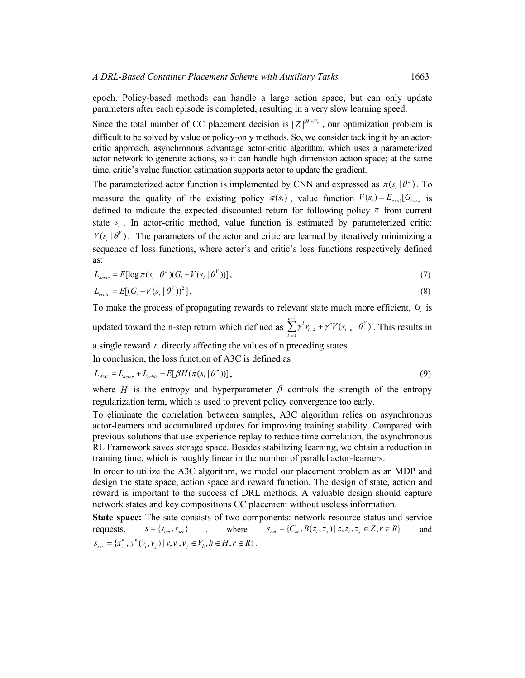epoch. Policy-based methods can handle a large action space, but can only update parameters after each episode is completed, resulting in a very slow learning speed.

Since the total number of CC placement decision is  $|Z|^{H|\times|V_h|}$ , our optimization problem is difficult to be solved by value or policy-only methods. So, we consider tackling it by an actorcritic approach, asynchronous advantage actor-critic algorithm, which uses a parameterized actor network to generate actions, so it can handle high dimension action space; at the same time, critic's value function estimation supports actor to update the gradient.

The parameterized actor function is implemented by CNN and expressed as  $\pi(s_i | \theta^{\pi})$ . To measure the quality of the existing policy  $\pi(s_i)$ , value function  $V(s_i) = E_{\pi(s)}[G_{i_{\infty}}]$  is defined to indicate the expected discounted return for following policy  $\pi$  from current state  $s_i$ . In actor-critic method, value function is estimated by parameterized critic:  $V(s_i | \theta^V)$ . The parameters of the actor and critic are learned by iteratively minimizing a sequence of loss functions, where actor's and critic's loss functions respectively defined as:

$$
L_{actor} = E[\log \pi(s_i \mid \theta^{\pi})(G_i - V(s_i \mid \theta^{\nu}))] \tag{7}
$$

$$
L_{\text{critic}} = E[(G_i - V(s_i \mid \theta^V))^2].
$$
\n
$$
(8)
$$

To make the process of propagating rewards to relevant state much more efficient, *Gi* is updated toward the n-step return which defined as  $\sum_{n=1}^{\infty}$ 0  $\sum_{k=0}^{n-1} \gamma^k r_{i+k} + \gamma^n V(s_{i+n} | \theta^V)$  $\sum_{j=1}^{-1} \gamma^k r_{i+k} + \gamma^n V(s_{i+n} | \theta)$  $\sum_{k=0} \gamma^k r_{i+k} + \gamma^n V(s_{i+n} | \theta^V)$ . This results in

a single reward *r* directly affecting the values of n preceding states.

In conclusion, the loss function of A3C is defined as

$$
L_{\text{A3C}} = L_{\text{actor}} + L_{\text{critic}} - E[\beta H(\pi(s_i \mid \theta^{\pi}))],\tag{9}
$$

where *H* is the entropy and hyperparameter  $\beta$  controls the strength of the entropy regularization term, which is used to prevent policy convergence too early.

To eliminate the correlation between samples, A3C algorithm relies on asynchronous actor-learners and accumulated updates for improving training stability. Compared with previous solutions that use experience replay to reduce time correlation, the asynchronous RL Framework saves storage space. Besides stabilizing learning, we obtain a reduction in training time, which is roughly linear in the number of parallel actor-learners.

In order to utilize the A3C algorithm, we model our placement problem as an MDP and design the state space, action space and reward function. The design of state, action and reward is important to the success of DRL methods. A valuable design should capture network states and key compositions CC placement without useless information.

**State space:** The sate consists of two components: network resource status and service requests.  $s = \{s_{net}, s_{ser}\}\$ , where  $s_{net} = \{C_{rr}, B(z_i, z_j) | z, z_i, z_j \in Z, r \in R\}$  and  ${S}_{ser} = \{x_{vr}^h, y^h(v_i, v_j) | v, v_i, v_j \in V_h, h \in H, r \in R\}$ .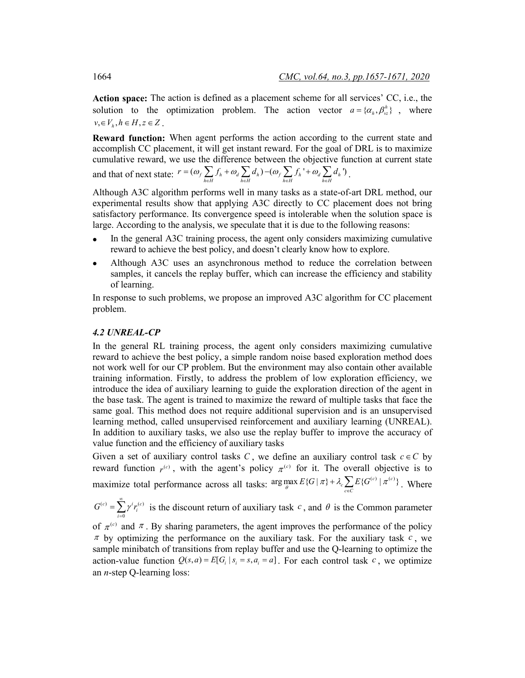**Action space:** The action is defined as a placement scheme for all services' CC, i.e., the solution to the optimization problem. The action vector  $a = \{\alpha_h, \beta_{v_z}^h\}$ , where  $v, \in V_h, h \in H, z \in Z$ .

**Reward function:** When agent performs the action according to the current state and accomplish CC placement, it will get instant reward. For the goal of DRL is to maximize cumulative reward, we use the difference between the objective function at current state

and that of next state: 
$$
r = (\omega_f \sum_{h \in H} f_h + \omega_d \sum_{h \in H} d_h) - (\omega_f \sum_{h \in H} f_h' + \omega_d \sum_{h \in H} d_h')
$$
.

Although A3C algorithm performs well in many tasks as a state-of-art DRL method, our experimental results show that applying A3C directly to CC placement does not bring satisfactory performance. Its convergence speed is intolerable when the solution space is large. According to the analysis, we speculate that it is due to the following reasons:

- In the general A3C training process, the agent only considers maximizing cumulative reward to achieve the best policy, and doesn't clearly know how to explore.
- Although A3C uses an asynchronous method to reduce the correlation between samples, it cancels the replay buffer, which can increase the efficiency and stability of learning.

In response to such problems, we propose an improved A3C algorithm for CC placement problem.

#### *4.2 UNREAL-CP*

In the general RL training process, the agent only considers maximizing cumulative reward to achieve the best policy, a simple random noise based exploration method does not work well for our CP problem. But the environment may also contain other available training information. Firstly, to address the problem of low exploration efficiency, we introduce the idea of auxiliary learning to guide the exploration direction of the agent in the base task. The agent is trained to maximize the reward of multiple tasks that face the same goal. This method does not require additional supervision and is an unsupervised learning method, called unsupervised reinforcement and auxiliary learning (UNREAL). In addition to auxiliary tasks, we also use the replay buffer to improve the accuracy of value function and the efficiency of auxiliary tasks

Given a set of auxiliary control tasks  $C$ , we define an auxiliary control task  $c \in C$  by reward function  $r^{(c)}$ , with the agent's policy  $\pi^{(c)}$  for it. The overall objective is to maximize total performance across all tasks:  $\arg \max_{\theta} E\{G | \pi\} + \lambda_c \sum_{c \in C} E\{G^{(c)} | \pi^{(c)}\}$ +  $\lambda_c \sum_{c \in C} E\{G^{(c)} | \pi^{(c)}\}$ . Where

 $(c)$   $\sum$   $\overline{u}$   $(a)$  $\boldsymbol{0}$  $\sigma^{(c)} = \sum_{i=0}^r \gamma^i r_i^{(c)}$  $G^{(c)} = \sum_{r=1}^{\infty} \gamma^i r_i$  $=\sum_{i=0}^{\infty} \gamma^{i} r_{i}^{(c)}$  is the discount return of auxiliary task *c*, and  $\theta$  is the Common parameter

of  $\pi^{(c)}$  and  $\pi$ . By sharing parameters, the agent improves the performance of the policy  $\pi$  by optimizing the performance on the auxiliary task. For the auxiliary task  $c$ , we sample minibatch of transitions from replay buffer and use the Q-learning to optimize the action-value function  $Q(s, a) = E[G_i | s_i = s, a_i = a]$ . For each control task *c*, we optimize an *n*-step Q-learning loss: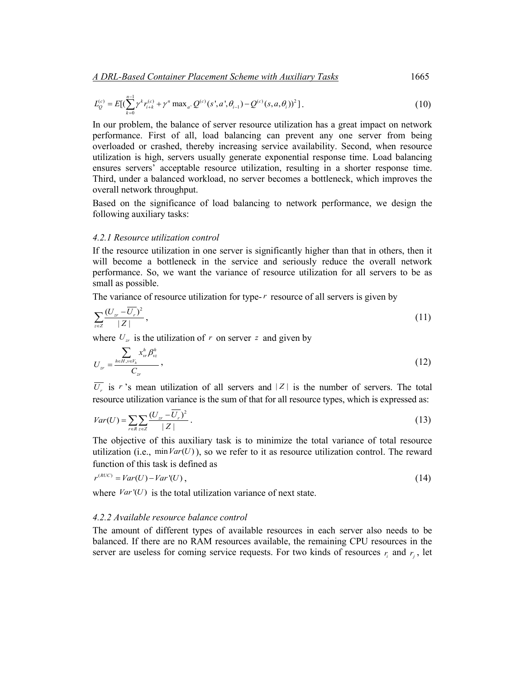*A DRL-Based Container Placement Scheme with Auxiliary Tasks*1665

$$
L_{Q}^{(c)} = E\left[\sum_{k=0}^{n-1} \gamma^{k} r_{i+k}^{(c)} + \gamma^{n} \max_{a'} Q^{(c)}(s', a', \theta_{i-1}) - Q^{(c)}(s, a, \theta_{i'})\right]^{2} \right].
$$
 (10)

In our problem, the balance of server resource utilization has a great impact on network performance. First of all, load balancing can prevent any one server from being overloaded or crashed, thereby increasing service availability. Second, when resource utilization is high, servers usually generate exponential response time. Load balancing ensures servers' acceptable resource utilization, resulting in a shorter response time. Third, under a balanced workload, no server becomes a bottleneck, which improves the overall network throughput.

Based on the significance of load balancing to network performance, we design the following auxiliary tasks:

### *4.2.1 Resource utilization control*

If the resource utilization in one server is significantly higher than that in others, then it will become a bottleneck in the service and seriously reduce the overall network performance. So, we want the variance of resource utilization for all servers to be as small as possible.

The variance of resource utilization for type- $r$  resource of all servers is given by

$$
\sum_{z\in Z} \frac{(U_{zr} - \overline{U_r})^2}{|Z|},\tag{11}
$$

where  $U_{zr}$  is the utilization of r on server z and given by

$$
U_{zr} = \frac{\sum_{h \in H, v \in V_h} x_{vr}^h \beta_{vz}^h}{C_{zr}}\,,
$$
\n(12)

 $\overline{U_r}$  is *r* 's mean utilization of all servers and | Z | is the number of servers. The total resource utilization variance is the sum of that for all resource types, which is expressed as:

$$
Var(U) = \sum_{r \in R} \sum_{z \in Z} \frac{(U_{zr} - \overline{U_r})^2}{|Z|} \,. \tag{13}
$$

The objective of this auxiliary task is to minimize the total variance of total resource utilization (i.e.,  $minVar(U)$ ), so we refer to it as resource utilization control. The reward function of this task is defined as

$$
r^{(RUC)} = Var(U) - Var'(U) \tag{14}
$$

where  $Var'(U)$  is the total utilization variance of next state.

#### *4.2.2 Available resource balance control*

The amount of different types of available resources in each server also needs to be balanced. If there are no RAM resources available, the remaining CPU resources in the server are useless for coming service requests. For two kinds of resources  $r_i$  and  $r_j$ , let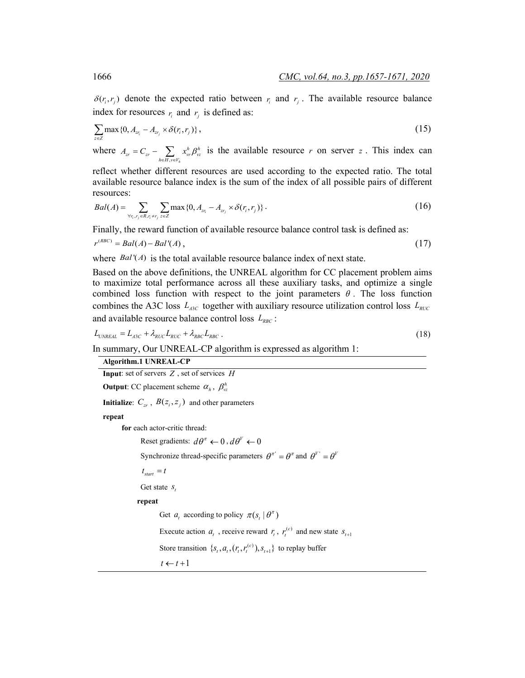$\delta(r_i, r_i)$  denote the expected ratio between  $r_i$  and  $r_j$ . The available resource balance index for resources  $r_i$  and  $r_j$  is defined as:

$$
\sum_{z \in Z} \max\{0, A_{z_{r_i}} - A_{z_{r_j}} \times \delta(r_i, r_j)\},\tag{15}
$$

where  $, v \in V_h$  $\begin{aligned} &\mathcal{L}_{zr} = C_{zr} - \sum_{h\in H, v\in V_h} x_{vr}^h\beta_{vz}^h \end{aligned}$  $A_{zr} = C_{zr} - \sum_{h \in H, v \in V_h} x_w^h \beta_{vz}^h$  is the available resource *r* on server *z*. This index can

reflect whether different resources are used according to the expected ratio. The total available resource balance index is the sum of the index of all possible pairs of different resources:

$$
Bal(A) = \sum_{\forall r_i, r_j \in R, r_i \neq r_j} \sum_{z \in Z} \max\{0, A_{z r_i} - A_{z r_j} \times \delta(r_i, r_j)\}.
$$
 (16)

Finally, the reward function of available resource balance control task is defined as:

$$
r^{(RBC)} = Bal(A) - Bal'(A) \tag{17}
$$

where  $Bal'(A)$  is the total available resource balance index of next state.

Based on the above definitions, the UNREAL algorithm for CC placement problem aims to maximize total performance across all these auxiliary tasks, and optimize a single combined loss function with respect to the joint parameters  $\theta$ . The loss function combines the A3C loss  $L_{ABC}$  together with auxiliary resource utilization control loss  $L_{RUC}$ and available resource balance control loss  $L_{RBC}$ :

$$
L_{UNREAL} = L_{ASC} + \lambda_{RUC} L_{RUC} + \lambda_{RBC} L_{RBC} \tag{18}
$$

In summary, Our UNREAL-CP algorithm is expressed as algorithm 1:

| Algorithm.1 UNREAL-CP                                                                               |
|-----------------------------------------------------------------------------------------------------|
| <b>Input:</b> set of servers $Z$ , set of services $H$                                              |
| <b>Output:</b> CC placement scheme $\alpha_h$ , $\beta_{vz}^h$                                      |
| <b>Initialize:</b> $C_{zr}$ , $B(z_i, z_j)$ and other parameters                                    |
| repeat                                                                                              |
| for each actor-critic thread:                                                                       |
| Reset gradients: $d\theta^{\pi} \leftarrow 0$ , $d\theta^{\gamma} \leftarrow 0$                     |
| Synchronize thread-specific parameters $\theta^{\pi} = \theta^{\pi}$ and $\theta^{V'} = \theta^{V}$ |
| $t_{\text{start}} = t$                                                                              |
| Get state $S_t$                                                                                     |
| repeat                                                                                              |
| Get $a_t$ according to policy $\pi(s_t   \theta^{\pi})$                                             |
| Execute action $a_{t}$ , receive reward $r_{t}$ , $r_{t}^{(c)}$ and new state $s_{t+1}$             |
| Store transition $\{s_t, a_t, (r_t, r_t^{(c)}), s_{t+1}\}\$ to replay buffer                        |
| $t \leftarrow t+1$                                                                                  |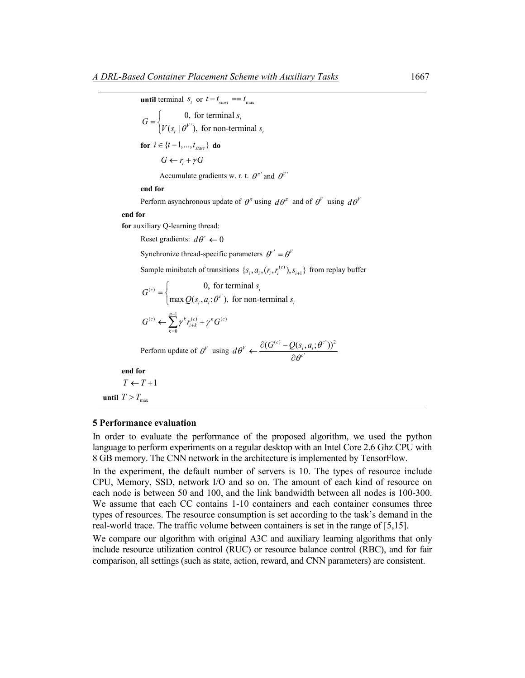**until** terminal  $s_t$  or  $t - t_{start} == t_{max}$ ' 0, for terminal  $(s_t | \theta^{\nu})$ , for non-terminal *t*  $\mathbf{y}_t$   $\mid \theta^V$ ), for non-terminal  $s_t$  $G = \begin{cases} 0, \text{ for terminal } s_t \\ V(s_t | \theta^{V})$ , for non-terminal *s*  $\overline{\mathfrak{l}}$ **for**  $i \in \{t-1, ..., t_{start}\}$  **do**  $G \leftarrow r_i + \gamma G$ Accumulate gradients w. r. t.  $\theta^{\pi}$  and  $\theta^{V}$ **end for** Perform asynchronous update of  $\theta^{\pi}$  using  $d\theta^{\pi}$  and of  $\theta^{\nu}$  using  $d\theta^{\nu}$ **end for for** auxiliary Q-learning thread: Reset gradients:  $d\theta^c \leftarrow 0$ Synchronize thread-specific parameters  $\theta^{c'} = \theta^{V}$ Sample minibatch of transitions  $\{S_i, a_i, (r_i, r_i^{(c)})$ ,  $S_{i+1}\}\$  from replay buffer  $\begin{cases} (c) = \begin{cases} 0, & \text{if } c \end{cases} \end{cases}$ 0, for terminal  $\max Q(s_i, a_i; \theta^c)$ , for non-terminal  $c^c$  =  $\begin{cases} 0, & \text{for terminal } s_i \\ \max Q(s_i, a_i; \theta^c), & \text{for non-terminal } s_i \end{cases}$  $G^{(c)} = \begin{cases} 0, & \text{for terminal } s_i \\ \max Q(s_i, a_i; \theta^c), & \text{for non-terminal } s_i \end{cases}$  $\overline{\mathfrak{l}}$  $G^{(c)} \leftarrow \sum_{k=1}^{n-1} \gamma^k r_{i+k}^{(c)} + \gamma^n G^{(c)}$ 0 *k*  $\leftarrow \sum \gamma^k r_{i+k}^{(c)} +$ = Perform update of  $\theta^V$  using  $d\theta^V \leftarrow \frac{\partial (G^{(c)} - Q(s_i, a_i; \theta^c))^2}{\partial \theta^V}$ '  $d\theta^{\nu} \leftarrow \frac{\partial (G^{(c)} - Q(s_{i}, a_{i}; \theta^{c'}))}{\partial \theta^{c'}}$  $\leftarrow \frac{\partial (G^{(c)} -$ ∂ **end for**  $T \leftarrow T + 1$ **until**  $T > T_{\text{max}}$ 

### **5 Performance evaluation**

In order to evaluate the performance of the proposed algorithm, we used the python language to perform experiments on a regular desktop with an Intel Core 2.6 Ghz CPU with 8 GB memory. The CNN network in the architecture is implemented by TensorFlow.

In the experiment, the default number of servers is 10. The types of resource include CPU, Memory, SSD, network I/O and so on. The amount of each kind of resource on each node is between 50 and 100, and the link bandwidth between all nodes is 100-300. We assume that each CC contains 1-10 containers and each container consumes three types of resources. The resource consumption is set according to the task's demand in the real-world trace. The traffic volume between containers is set in the range of [5,15].

We compare our algorithm with original A3C and auxiliary learning algorithms that only include resource utilization control (RUC) or resource balance control (RBC), and for fair comparison, all settings (such as state, action, reward, and CNN parameters) are consistent.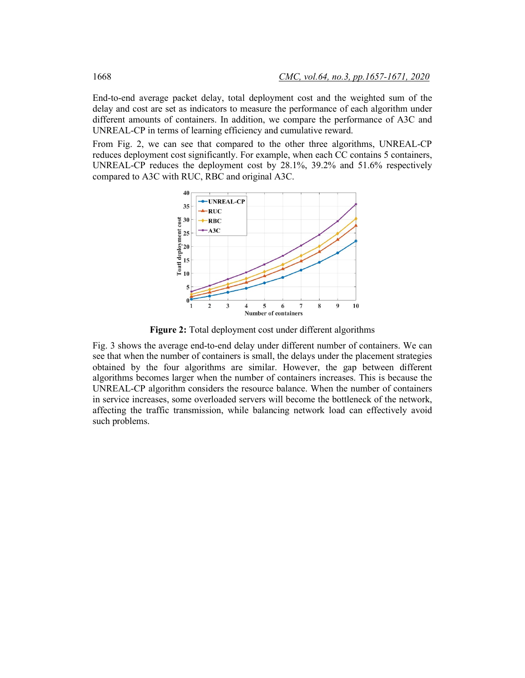End-to-end average packet delay, total deployment cost and the weighted sum of the delay and cost are set as indicators to measure the performance of each algorithm under different amounts of containers. In addition, we compare the performance of A3C and UNREAL-CP in terms of learning efficiency and cumulative reward.

From Fig. 2, we can see that compared to the other three algorithms, UNREAL-CP reduces deployment cost significantly. For example, when each CC contains 5 containers, UNREAL-CP reduces the deployment cost by 28.1%, 39.2% and 51.6% respectively compared to A3C with RUC, RBC and original A3C.



**Figure 2:** Total deployment cost under different algorithms

Fig. 3 shows the average end-to-end delay under different number of containers. We can see that when the number of containers is small, the delays under the placement strategies obtained by the four algorithms are similar. However, the gap between different algorithms becomes larger when the number of containers increases. This is because the UNREAL-CP algorithm considers the resource balance. When the number of containers in service increases, some overloaded servers will become the bottleneck of the network, affecting the traffic transmission, while balancing network load can effectively avoid such problems.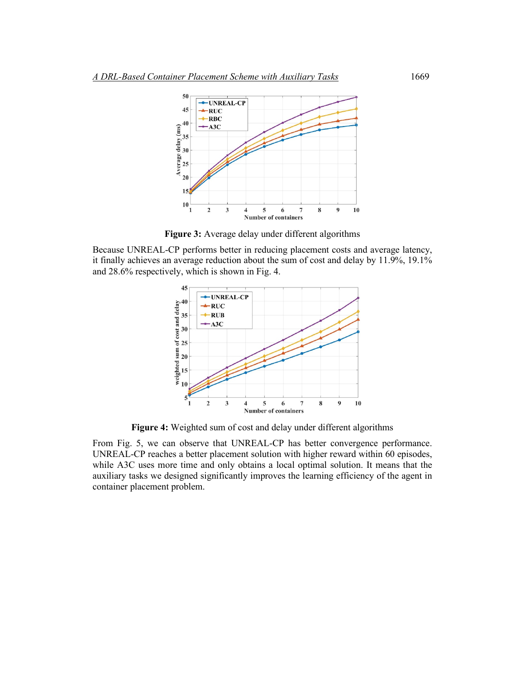

**Figure 3:** Average delay under different algorithms

Because UNREAL-CP performs better in reducing placement costs and average latency, it finally achieves an average reduction about the sum of cost and delay by 11.9%, 19.1% and 28.6% respectively, which is shown in Fig. 4.



**Figure 4:** Weighted sum of cost and delay under different algorithms

From Fig. 5, we can observe that UNREAL-CP has better convergence performance. UNREAL-CP reaches a better placement solution with higher reward within 60 episodes, while A3C uses more time and only obtains a local optimal solution. It means that the auxiliary tasks we designed significantly improves the learning efficiency of the agent in container placement problem.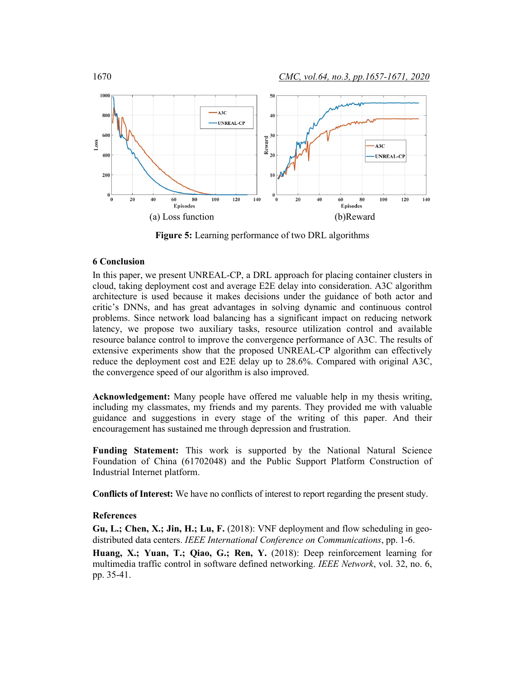

**Figure 5:** Learning performance of two DRL algorithms

### **6 Conclusion**

In this paper, we present UNREAL-CP, a DRL approach for placing container clusters in cloud, taking deployment cost and average E2E delay into consideration. A3C algorithm architecture is used because it makes decisions under the guidance of both actor and critic's DNNs, and has great advantages in solving dynamic and continuous control problems. Since network load balancing has a significant impact on reducing network latency, we propose two auxiliary tasks, resource utilization control and available resource balance control to improve the convergence performance of A3C. The results of extensive experiments show that the proposed UNREAL-CP algorithm can effectively reduce the deployment cost and E2E delay up to 28.6%. Compared with original A3C, the convergence speed of our algorithm is also improved.

**Acknowledgement:** Many people have offered me valuable help in my thesis writing, including my classmates, my friends and my parents. They provided me with valuable guidance and suggestions in every stage of the writing of this paper. And their encouragement has sustained me through depression and frustration.

**Funding Statement:** This work is supported by the National Natural Science Foundation of China (61702048) and the Public Support Platform Construction of Industrial Internet platform.

**Conflicts of Interest:** We have no conflicts of interest to report regarding the present study.

### **References**

**Gu, L.; Chen, X.; Jin, H.; Lu, F.** (2018): VNF deployment and flow scheduling in geodistributed data centers. *IEEE International Conference on Communications*, pp. 1-6.

**Huang, X.; Yuan, T.; Qiao, G.; Ren, Y.** (2018): Deep reinforcement learning for multimedia traffic control in software defined networking. *IEEE Network*, vol. 32, no. 6, pp. 35-41.